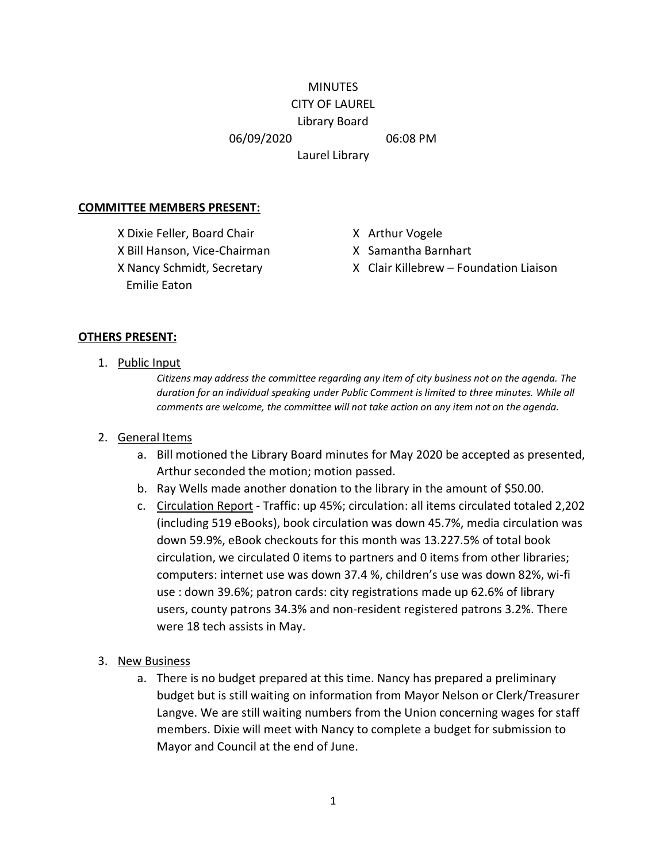## **MINUTES** CITY OF LAUREL

# Library Board

06/09/2020 06:08 PM

Laurel Library

## **COMMITTEE MEMBERS PRESENT:**

X Dixie Feller, Board Chair X Arthur Vogele X Bill Hanson, Vice-Chairman X Samantha Barnhart Emilie Eaton

- 
- 
- X Nancy Schmidt, Secretary X Clair Killebrew Foundation Liaison

#### **OTHERS PRESENT:**

1. Public Input

*Citizens may address the committee regarding any item of city business not on the agenda. The duration for an individual speaking under Public Comment is limited to three minutes. While all comments are welcome, the committee will not take action on any item not on the agenda.*

## 2. General Items

- a. Bill motioned the Library Board minutes for May 2020 be accepted as presented, Arthur seconded the motion; motion passed.
- b. Ray Wells made another donation to the library in the amount of \$50.00.
- c. Circulation Report Traffic: up 45%; circulation: all items circulated totaled 2,202 (including 519 eBooks), book circulation was down 45.7%, media circulation was down 59.9%, eBook checkouts for this month was 13.227.5% of total book circulation, we circulated 0 items to partners and 0 items from other libraries; computers: internet use was down 37.4 %, children's use was down 82%, wi-fi use : down 39.6%; patron cards: city registrations made up 62.6% of library users, county patrons 34.3% and non-resident registered patrons 3.2%. There were 18 tech assists in May.
- 3. New Business
	- a. There is no budget prepared at this time. Nancy has prepared a preliminary budget but is still waiting on information from Mayor Nelson or Clerk/Treasurer Langve. We are still waiting numbers from the Union concerning wages for staff members. Dixie will meet with Nancy to complete a budget for submission to Mayor and Council at the end of June.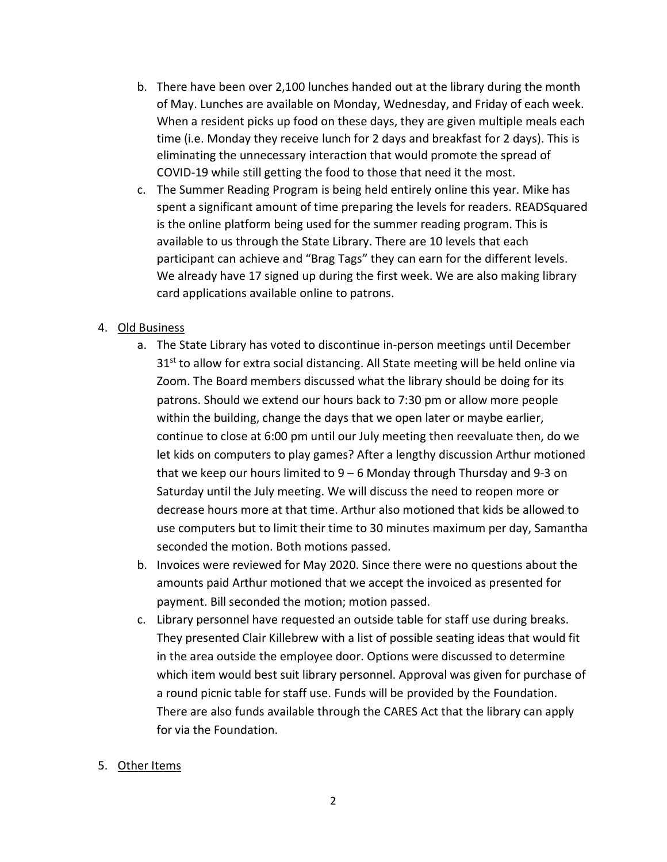- b. There have been over 2,100 lunches handed out at the library during the month of May. Lunches are available on Monday, Wednesday, and Friday of each week. When a resident picks up food on these days, they are given multiple meals each time (i.e. Monday they receive lunch for 2 days and breakfast for 2 days). This is eliminating the unnecessary interaction that would promote the spread of COVID-19 while still getting the food to those that need it the most.
- c. The Summer Reading Program is being held entirely online this year. Mike has spent a significant amount of time preparing the levels for readers. READSquared is the online platform being used for the summer reading program. This is available to us through the State Library. There are 10 levels that each participant can achieve and "Brag Tags" they can earn for the different levels. We already have 17 signed up during the first week. We are also making library card applications available online to patrons.

# 4. Old Business

- a. The State Library has voted to discontinue in-person meetings until December  $31<sup>st</sup>$  to allow for extra social distancing. All State meeting will be held online via Zoom. The Board members discussed what the library should be doing for its patrons. Should we extend our hours back to 7:30 pm or allow more people within the building, change the days that we open later or maybe earlier, continue to close at 6:00 pm until our July meeting then reevaluate then, do we let kids on computers to play games? After a lengthy discussion Arthur motioned that we keep our hours limited to 9 – 6 Monday through Thursday and 9-3 on Saturday until the July meeting. We will discuss the need to reopen more or decrease hours more at that time. Arthur also motioned that kids be allowed to use computers but to limit their time to 30 minutes maximum per day, Samantha seconded the motion. Both motions passed.
- b. Invoices were reviewed for May 2020. Since there were no questions about the amounts paid Arthur motioned that we accept the invoiced as presented for payment. Bill seconded the motion; motion passed.
- c. Library personnel have requested an outside table for staff use during breaks. They presented Clair Killebrew with a list of possible seating ideas that would fit in the area outside the employee door. Options were discussed to determine which item would best suit library personnel. Approval was given for purchase of a round picnic table for staff use. Funds will be provided by the Foundation. There are also funds available through the CARES Act that the library can apply for via the Foundation.

# 5. Other Items